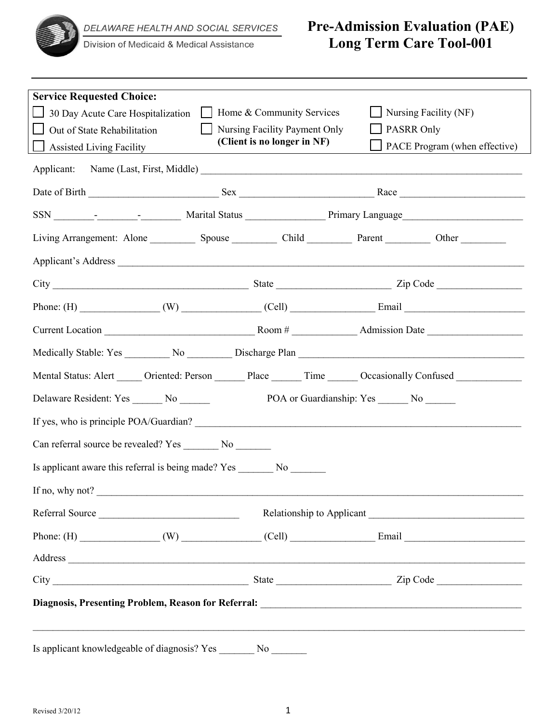

Division of Medicaid & Medical Assistance

# **Pre-Admission Evaluation (PAE) Long Term Care Tool-001**

| <b>Service Requested Choice:</b><br>$\Box$ 30 Day Acute Care Hospitalization<br>Out of State Rehabilitation<br><b>Solution</b> Assisted Living Facility                                                                        | Home & Community Services<br>Nursing Facility Payment Only<br>(Client is no longer in NF) | $\Box$ Nursing Facility (NF)<br>PASRR Only<br>PACE Program (when effective)                                                                                                                                                    |  |  |  |
|--------------------------------------------------------------------------------------------------------------------------------------------------------------------------------------------------------------------------------|-------------------------------------------------------------------------------------------|--------------------------------------------------------------------------------------------------------------------------------------------------------------------------------------------------------------------------------|--|--|--|
| Applicant:                                                                                                                                                                                                                     |                                                                                           |                                                                                                                                                                                                                                |  |  |  |
|                                                                                                                                                                                                                                |                                                                                           |                                                                                                                                                                                                                                |  |  |  |
|                                                                                                                                                                                                                                |                                                                                           |                                                                                                                                                                                                                                |  |  |  |
| Living Arrangement: Alone Spouse Spouse Child Parent Parent Other                                                                                                                                                              |                                                                                           |                                                                                                                                                                                                                                |  |  |  |
|                                                                                                                                                                                                                                |                                                                                           |                                                                                                                                                                                                                                |  |  |  |
|                                                                                                                                                                                                                                |                                                                                           |                                                                                                                                                                                                                                |  |  |  |
|                                                                                                                                                                                                                                |                                                                                           |                                                                                                                                                                                                                                |  |  |  |
|                                                                                                                                                                                                                                |                                                                                           |                                                                                                                                                                                                                                |  |  |  |
|                                                                                                                                                                                                                                |                                                                                           |                                                                                                                                                                                                                                |  |  |  |
|                                                                                                                                                                                                                                |                                                                                           | Mental Status: Alert ______ Oriented: Person _______ Place ______ Time ______ Occasionally Confused __________                                                                                                                 |  |  |  |
| Delaware Resident: Yes _______ No ______<br>POA or Guardianship: Yes _______ No ______                                                                                                                                         |                                                                                           |                                                                                                                                                                                                                                |  |  |  |
|                                                                                                                                                                                                                                |                                                                                           |                                                                                                                                                                                                                                |  |  |  |
| Can referral source be revealed? Yes __________ No ________                                                                                                                                                                    |                                                                                           |                                                                                                                                                                                                                                |  |  |  |
|                                                                                                                                                                                                                                |                                                                                           |                                                                                                                                                                                                                                |  |  |  |
| If no, why not?                                                                                                                                                                                                                |                                                                                           |                                                                                                                                                                                                                                |  |  |  |
| Referral Source                                                                                                                                                                                                                |                                                                                           | Relationship to Applicant                                                                                                                                                                                                      |  |  |  |
|                                                                                                                                                                                                                                |                                                                                           |                                                                                                                                                                                                                                |  |  |  |
| Address and the contract of the contract of the contract of the contract of the contract of the contract of the contract of the contract of the contract of the contract of the contract of the contract of the contract of th |                                                                                           |                                                                                                                                                                                                                                |  |  |  |
|                                                                                                                                                                                                                                |                                                                                           |                                                                                                                                                                                                                                |  |  |  |
|                                                                                                                                                                                                                                |                                                                                           |                                                                                                                                                                                                                                |  |  |  |
|                                                                                                                                                                                                                                |                                                                                           | ,我们也不会有什么。""我们的人,我们也不会有什么?""我们的人,我们也不会有什么?""我们的人,我们也不会有什么?""我们的人,我们也不会有什么?""我们的人                                                                                                                                               |  |  |  |
| Is applicant knowledgeable of diagnosis? Yes                                                                                                                                                                                   |                                                                                           | No service that the service of the service of the service of the service of the service of the service of the service of the service of the service of the service of the service of the service of the service of the service |  |  |  |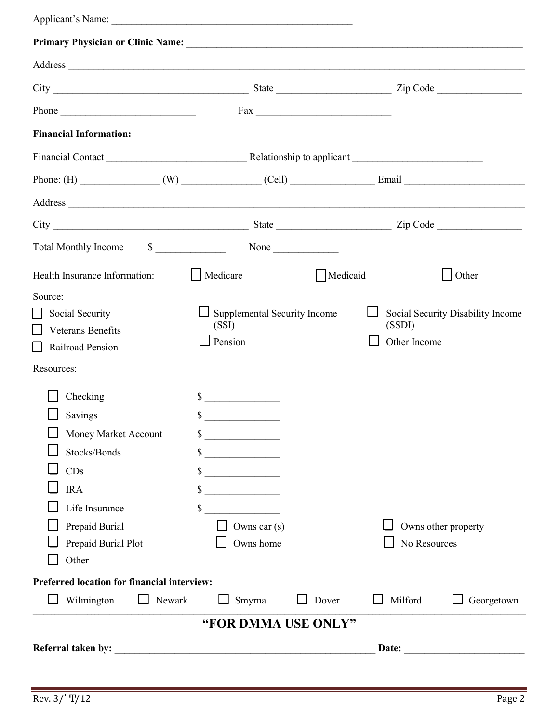| Applicant's Name:                                                                                                                                                                                                              |                                                                                                                                                                                                                                                    |          |                        |                                   |  |
|--------------------------------------------------------------------------------------------------------------------------------------------------------------------------------------------------------------------------------|----------------------------------------------------------------------------------------------------------------------------------------------------------------------------------------------------------------------------------------------------|----------|------------------------|-----------------------------------|--|
|                                                                                                                                                                                                                                |                                                                                                                                                                                                                                                    |          |                        |                                   |  |
| Address and the contract of the contract of the contract of the contract of the contract of the contract of the contract of the contract of the contract of the contract of the contract of the contract of the contract of th |                                                                                                                                                                                                                                                    |          |                        |                                   |  |
|                                                                                                                                                                                                                                |                                                                                                                                                                                                                                                    |          |                        |                                   |  |
| Phone                                                                                                                                                                                                                          |                                                                                                                                                                                                                                                    |          |                        |                                   |  |
| <b>Financial Information:</b>                                                                                                                                                                                                  |                                                                                                                                                                                                                                                    |          |                        |                                   |  |
| Financial Contact <b>Example 2</b> Relationship to applicant <b>Example 2</b> Relationship to applicant                                                                                                                        |                                                                                                                                                                                                                                                    |          |                        |                                   |  |
|                                                                                                                                                                                                                                |                                                                                                                                                                                                                                                    |          |                        |                                   |  |
| Address and the contract of the contract of the contract of the contract of the contract of the contract of the contract of the contract of the contract of the contract of the contract of the contract of the contract of th |                                                                                                                                                                                                                                                    |          |                        |                                   |  |
|                                                                                                                                                                                                                                |                                                                                                                                                                                                                                                    |          |                        |                                   |  |
| <b>Total Monthly Income</b>                                                                                                                                                                                                    | $\frac{\text{S}}{\text{S}}$ None                                                                                                                                                                                                                   |          |                        |                                   |  |
| Health Insurance Information:                                                                                                                                                                                                  | Medicare                                                                                                                                                                                                                                           | Medicaid |                        | $\Box$ Other                      |  |
| Source:<br>Social Security<br><b>Veterans Benefits</b><br>Railroad Pension<br>$\blacksquare$<br>Resources:                                                                                                                     | Supplemental Security Income<br>(SSI)<br>$\Box$ Pension                                                                                                                                                                                            |          | (SSDI)<br>Other Income | Social Security Disability Income |  |
| Checking<br>Savings<br>Money Market Account<br>Stocks/Bonds<br>CDs<br><b>IRA</b><br>Life Insurance<br>Prepaid Burial<br>Prepaid Burial Plot<br>Other                                                                           | <u> 1980 - Jan Barat, prima prima prima prima prima prima prima prima prima prima prima prima prima prima prima p</u><br>\$<br>$\frac{\text{S}}{\text{S}}$<br>$\sim$<br>$\sim$<br>$\frac{\text{S}}{\text{S}}$<br>\$<br>Owns car $(s)$<br>Owns home |          | No Resources           | Owns other property               |  |
| <b>Preferred location for financial interview:</b>                                                                                                                                                                             |                                                                                                                                                                                                                                                    |          |                        |                                   |  |
| Wilmington<br>Newark                                                                                                                                                                                                           | Smyrna                                                                                                                                                                                                                                             | Dover    | Milford                | Georgetown                        |  |
|                                                                                                                                                                                                                                | "FOR DMMA USE ONLY"                                                                                                                                                                                                                                |          |                        |                                   |  |
|                                                                                                                                                                                                                                |                                                                                                                                                                                                                                                    |          | Date: $\qquad \qquad$  |                                   |  |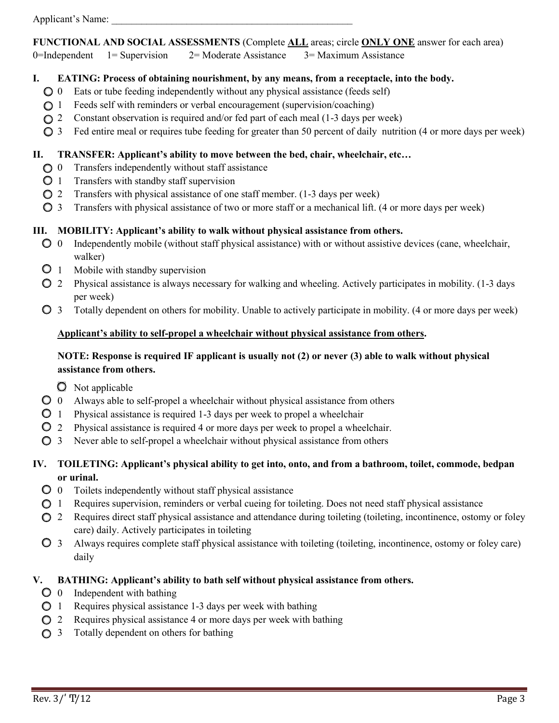#### **FUNCTIONAL AND SOCIAL ASSESSMENTS** (Complete **ALL** areas; circle **ONLY ONE** answer for each area)

0=Independent 1= Supervision 2= Moderate Assistance 3= Maximum Assistance

#### **I. EATING: Process of obtaining nourishment, by any means, from a receptacle, into the body.**

- $\bigcirc$  0 Eats or tube feeding independently without any physical assistance (feeds self)
- $\bigcirc$  1 Feeds self with reminders or verbal encouragement (supervision/coaching)
- 2 Constant observation is required and/or fed part of each meal (1-3 days per week)
- $\bigcirc$  3 Fed entire meal or requires tube feeding for greater than 50 percent of daily nutrition (4 or more days per week)

#### **II. TRANSFER: Applicant's ability to move between the bed, chair, wheelchair, etc…**

- $\bigcirc$  0 Transfers independently without staff assistance
- $\bigcirc$  1 Transfers with standby staff supervision
- 2 Transfers with physical assistance of one staff member. (1-3 days per week)
- 3 Transfers with physical assistance of two or more staff or a mechanical lift. (4 or more days per week)

#### **III. MOBILITY: Applicant's ability to walk without physical assistance from others.**

- $\bigcirc$  0 Independently mobile (without staff physical assistance) with or without assistive devices (cane, wheelchair, walker)
- $\overline{O}$  1 Mobile with standby supervision
- 2 Physical assistance is always necessary for walking and wheeling. Actively participates in mobility. (1-3 days per week)
- 3 Totally dependent on others for mobility. Unable to actively participate in mobility. (4 or more days per week)

#### **Applicant's ability to self-propel a wheelchair without physical assistance from others.**

#### **NOTE: Response is required IF applicant is usually not (2) or never (3) able to walk without physical assistance from others.**

- $\bullet$  Not applicable
- $\bullet$  0 Always able to self-propel a wheelchair without physical assistance from others
- 1 Physical assistance is required 1-3 days per week to propel a wheelchair
- 2 Physical assistance is required 4 or more days per week to propel a wheelchair.
- $\bigcirc$  3 Never able to self-propel a wheelchair without physical assistance from others

### **IV. TOILETING: Applicant's physical ability to get into, onto, and from a bathroom, toilet, commode, bedpan or urinal.**

- $\bullet$  0 Toilets independently without staff physical assistance
- 1 Requires supervision, reminders or verbal cueing for toileting. Does not need staff physical assistance
- **2** Requires direct staff physical assistance and attendance during toileting (toileting, incontinence, ostomy or foley care) daily. Actively participates in toileting
- 3 Always requires complete staff physical assistance with toileting (toileting, incontinence, ostomy or foley care) daily

### **V. BATHING: Applicant's ability to bath self without physical assistance from others.**

- $\overline{O}$  0 Independent with bathing
- $\bigcirc$  1 Requires physical assistance 1-3 days per week with bathing
- $\bigcirc$  2 Requires physical assistance 4 or more days per week with bathing
- $\bigcirc$  3 Totally dependent on others for bathing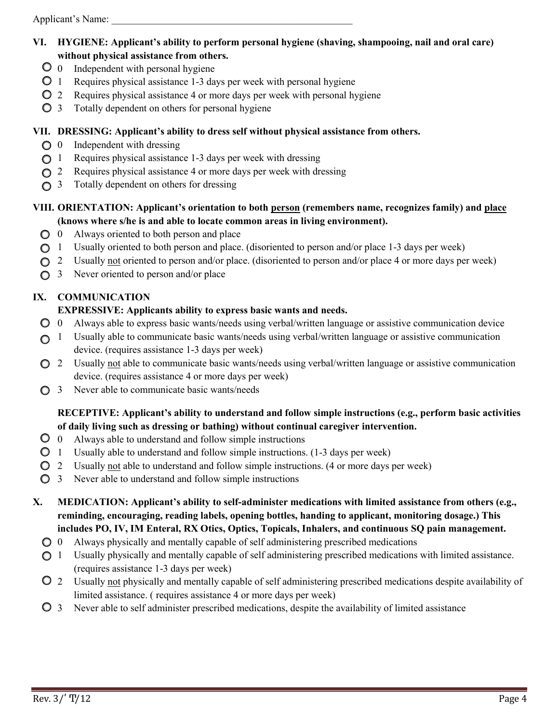Applicant's Name:

- **VI. HYGIENE: Applicant's ability to perform personal hygiene (shaving, shampooing, nail and oral care) without physical assistance from others.** 
	- $\overline{O}$  0 Independent with personal hygiene
	- $\overline{O}$  1 Requires physical assistance 1-3 days per week with personal hygiene
	- 2 Requires physical assistance 4 or more days per week with personal hygiene
	- 3 Totally dependent on others for personal hygiene

#### **VII. DRESSING: Applicant's ability to dress self without physical assistance from others.**

- $\bigcirc$  0 Independent with dressing
- $\bigcirc$  1 Requires physical assistance 1-3 days per week with dressing
- $\bigcirc$  2 Requires physical assistance 4 or more days per week with dressing
- $\bigcirc$  3 Totally dependent on others for dressing

### **VIII. ORIENTATION: Applicant's orientation to both person (remembers name, recognizes family) and place (knows where s/he is and able to locate common areas in living environment).**

- $\bigcirc$  0 Always oriented to both person and place
- 1 Usually oriented to both person and place. (disoriented to person and/or place 1-3 days per week)
- 2 Usually not oriented to person and/or place. (disoriented to person and/or place 4 or more days per week)
- $\bigcirc$  3 Never oriented to person and/or place

### **IX. COMMUNICATION**

#### **EXPRESSIVE: Applicants ability to express basic wants and needs.**

- $\bigcirc$  0 Always able to express basic wants/needs using verbal/written language or assistive communication device
- $\bigcirc$  1 Usually able to communicate basic wants/needs using verbal/written language or assistive communication device. (requires assistance 1-3 days per week)
- 2 Usually not able to communicate basic wants/needs using verbal/written language or assistive communication device. (requires assistance 4 or more days per week)
- $\bigcirc$  3 Never able to communicate basic wants/needs

### **RECEPTIVE: Applicant's ability to understand and follow simple instructions (e.g., perform basic activities of daily living such as dressing or bathing) without continual caregiver intervention.**

- $\overline{O}$  0 Always able to understand and follow simple instructions
- 1 Usually able to understand and follow simple instructions. (1-3 days per week)
- 2 Usually not able to understand and follow simple instructions. (4 or more days per week)
- 3 Never able to understand and follow simple instructions
- **X. MEDICATION: Applicant's ability to self-administer medications with limited assistance from others (e.g., reminding, encouraging, reading labels, opening bottles, handing to applicant, monitoring dosage.) This includes PO, IV, IM Enteral, RX Otics, Optics, Topicals, Inhalers, and continuous SQ pain management.** 
	- $\bigcirc$  0 Always physically and mentally capable of self administering prescribed medications
	- 1 Usually physically and mentally capable of self administering prescribed medications with limited assistance. (requires assistance 1-3 days per week)
	- 2 Usually not physically and mentally capable of self administering prescribed medications despite availability of limited assistance. ( requires assistance 4 or more days per week)
	- $\overline{Q}$  3 Never able to self administer prescribed medications, despite the availability of limited assistance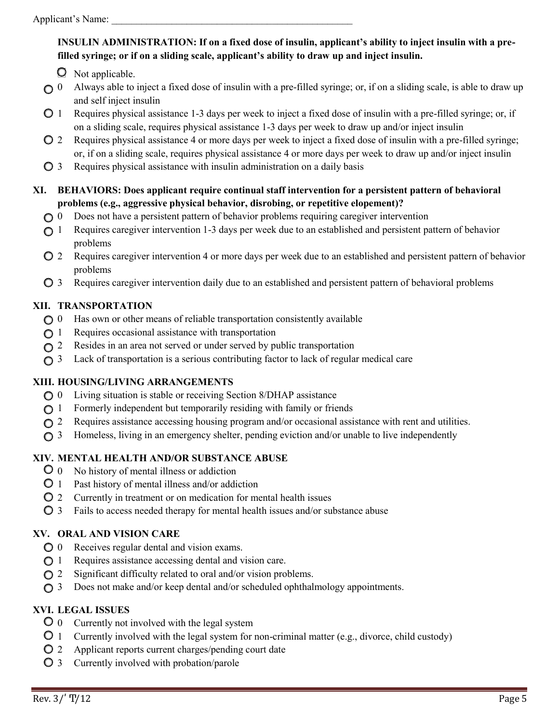## **INSULIN ADMINISTRATION: If on a fixed dose of insulin, applicant's ability to inject insulin with a prefilled syringe; or if on a sliding scale, applicant's ability to draw up and inject insulin.**

**Q** Not applicable.

- $\bigcirc$  0 Always able to inject a fixed dose of insulin with a pre-filled syringe; or, if on a sliding scale, is able to draw up and self inject insulin
- $\bigcirc$  1 Requires physical assistance 1-3 days per week to inject a fixed dose of insulin with a pre-filled syringe; or, if on a sliding scale, requires physical assistance 1-3 days per week to draw up and/or inject insulin
- 2 Requires physical assistance 4 or more days per week to inject a fixed dose of insulin with a pre-filled syringe; or, if on a sliding scale, requires physical assistance 4 or more days per week to draw up and/or inject insulin
- $\bigcirc$  3 Requires physical assistance with insulin administration on a daily basis
- **XI. BEHAVIORS: Does applicant require continual staff intervention for a persistent pattern of behavioral problems (e.g., aggressive physical behavior, disrobing, or repetitive elopement)?** 
	- 0 Does not have a persistent pattern of behavior problems requiring caregiver intervention
	- ◯ 1 Requires caregiver intervention 1-3 days per week due to an established and persistent pattern of behavior problems
	- 2 Requires caregiver intervention 4 or more days per week due to an established and persistent pattern of behavior problems
	- $\bigcirc$  3 Requires caregiver intervention daily due to an established and persistent pattern of behavioral problems

## **XII. TRANSPORTATION**

- $\bigcirc$  0 Has own or other means of reliable transportation consistently available
- $\bigcirc$  1 Requires occasional assistance with transportation
- ◯ 2 Resides in an area not served or under served by public transportation
- 3 Lack of transportation is a serious contributing factor to lack of regular medical care

### **XIII. HOUSING/LIVING ARRANGEMENTS**

- 0 Living situation is stable or receiving Section 8/DHAP assistance
- $\bigcirc$  1 Formerly independent but temporarily residing with family or friends
- $\bigcirc$  2 Requires assistance accessing housing program and/or occasional assistance with rent and utilities.
- $\bigcirc$  3 Homeless, living in an emergency shelter, pending eviction and/or unable to live independently

## **XIV. MENTAL HEALTH AND/OR SUBSTANCE ABUSE**

- 0 No history of mental illness or addiction
- $\overline{O}$  1 Past history of mental illness and/or addiction
- 2 Currently in treatment or on medication for mental health issues
- 3 Fails to access needed therapy for mental health issues and/or substance abuse

## **XV. ORAL AND VISION CARE**

- $\bigcirc$  0 Receives regular dental and vision exams.
- 1 Requires assistance accessing dental and vision care.
- $\bigcirc$  2 Significant difficulty related to oral and/or vision problems.
- $\bigcirc$  3 Does not make and/or keep dental and/or scheduled ophthalmology appointments.

## **XVI. LEGAL ISSUES**

- 0 Currently not involved with the legal system
- 1 Currently involved with the legal system for non-criminal matter (e.g., divorce, child custody)
- 2 Applicant reports current charges/pending court date
- 3 Currently involved with probation/parole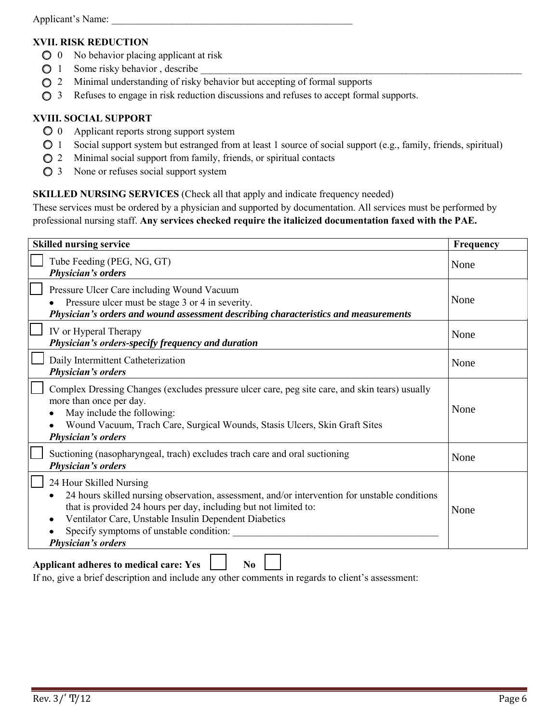#### **XVII. RISK REDUCTION**

- $\bigcirc$  0 No behavior placing applicant at risk
- $\bigcirc$  1 Some risky behavior, describe
- $\bigcirc$  2 Minimal understanding of risky behavior but accepting of formal supports
- $\bigcirc$  3 Refuses to engage in risk reduction discussions and refuses to accept formal supports.

#### **XVIII. SOCIAL SUPPORT**

- 0 Applicant reports strong support system
- 1 Social support system but estranged from at least 1 source of social support (e.g., family, friends, spiritual)
- $\bigcirc$  2 Minimal social support from family, friends, or spiritual contacts
- $\bigcirc$  3 None or refuses social support system

#### **SKILLED NURSING SERVICES** (Check all that apply and indicate frequency needed)

These services must be ordered by a physician and supported by documentation. All services must be performed by professional nursing staff. **Any services checked require the italicized documentation faxed with the PAE.** 

| <b>Skilled nursing service</b>                                                                                                                                                                                                                                                                                                             | Frequency |
|--------------------------------------------------------------------------------------------------------------------------------------------------------------------------------------------------------------------------------------------------------------------------------------------------------------------------------------------|-----------|
| Tube Feeding (PEG, NG, GT)<br><b>Physician's orders</b>                                                                                                                                                                                                                                                                                    | None      |
| Pressure Ulcer Care including Wound Vacuum<br>Pressure ulcer must be stage 3 or 4 in severity.<br>Physician's orders and wound assessment describing characteristics and measurements                                                                                                                                                      | None      |
| IV or Hyperal Therapy<br>Physician's orders-specify frequency and duration                                                                                                                                                                                                                                                                 | None      |
| Daily Intermittent Catheterization<br><b>Physician's orders</b>                                                                                                                                                                                                                                                                            | None      |
| Complex Dressing Changes (excludes pressure ulcer care, peg site care, and skin tears) usually<br>more than once per day.<br>May include the following:<br>Wound Vacuum, Trach Care, Surgical Wounds, Stasis Ulcers, Skin Graft Sites<br><b>Physician's orders</b>                                                                         | None      |
| Suctioning (nasopharyngeal, trach) excludes trach care and oral suctioning<br><b>Physician's orders</b>                                                                                                                                                                                                                                    | None      |
| 24 Hour Skilled Nursing<br>24 hours skilled nursing observation, assessment, and/or intervention for unstable conditions<br>that is provided 24 hours per day, including but not limited to:<br>Ventilator Care, Unstable Insulin Dependent Diabetics<br>$\bullet$<br>Specify symptoms of unstable condition:<br><b>Physician's orders</b> | None      |
| <b>Applicant adheres to medical care: Yes</b><br>N <sub>0</sub>                                                                                                                                                                                                                                                                            |           |

If no, give a brief description and include any other comments in regards to client's assessment: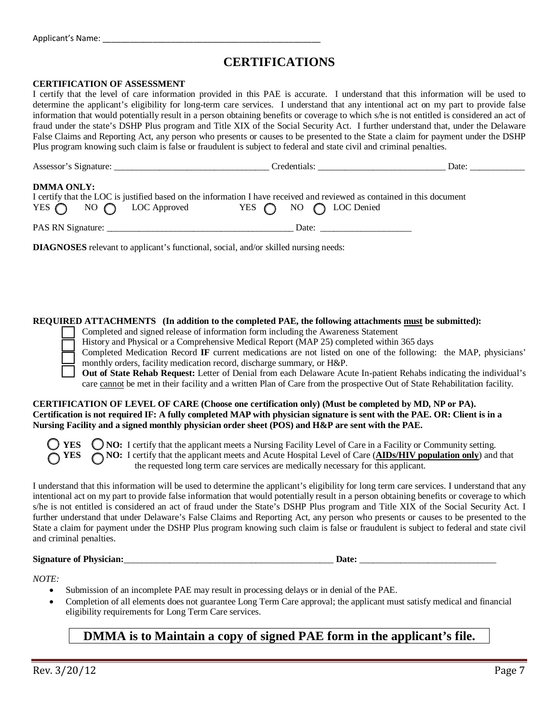## **CERTIFICATIONS**

#### **CERTIFICATION OF ASSESSMENT**

I certify that the level of care information provided in this PAE is accurate. I understand that this information will be used to determine the applicant's eligibility for long-term care services. I understand that any intentional act on my part to provide false information that would potentially result in a person obtaining benefits or coverage to which s/he is not entitled is considered an act of fraud under the state's DSHP Plus program and Title XIX of the Social Security Act. I further understand that, under the Delaware False Claims and Reporting Act, any person who presents or causes to be presented to the State a claim for payment under the DSHP Plus program knowing such claim is false or fraudulent is subject to federal and state civil and criminal penalties.

| Assessor's Signature:                                        | Credentials:                                                                                                                                                     | Date: |  |  |
|--------------------------------------------------------------|------------------------------------------------------------------------------------------------------------------------------------------------------------------|-------|--|--|
| <b>DMMA ONLY:</b><br>YES $\bigcap$ NO $\bigcap$ LOC Approved | I certify that the LOC is justified based on the information I have received and reviewed as contained in this document<br>YES $\bigcap$ NO $\bigcap$ LOC Denied |       |  |  |
| PAS RN Signature:                                            | Date:                                                                                                                                                            |       |  |  |

**DIAGNOSES** relevant to applicant's functional, social, and/or skilled nursing needs:

#### **REQUIRED ATTACHMENTS (In addition to the completed PAE, the following attachments must be submitted):**

Completed and signed release of information form including the Awareness Statement

History and Physical or a Comprehensive Medical Report (MAP 25) completed within 365 days

Completed Medication Record **IF** current medications are not listed on one of the following: the MAP, physicians' monthly orders, facility medication record, discharge summary, or H&P.

**Out of State Rehab Request:** Letter of Denial from each Delaware Acute In-patient Rehabs indicating the individual's care cannot be met in their facility and a written Plan of Care from the prospective Out of State Rehabilitation facility.

#### **CERTIFICATION OF LEVEL OF CARE (Choose one certification only) (Must be completed by MD, NP or PA). Certification is not required IF: A fully completed MAP with physician signature is sent with the PAE. OR: Client is in a Nursing Facility and a signed monthly physician order sheet (POS) and H&P are sent with the PAE.**

**THES** ONO: I certify that the applicant meets a Nursing Facility Level of Care in a Facility or Community setting. **NO:** I certify that the applicant meets and Acute Hospital Level of Care (**AIDs/HIV population only**) and that the requested long term care services are medically necessary for this applicant.

I understand that this information will be used to determine the applicant's eligibility for long term care services. I understand that any intentional act on my part to provide false information that would potentially result in a person obtaining benefits or coverage to which s/he is not entitled is considered an act of fraud under the State's DSHP Plus program and Title XIX of the Social Security Act. I further understand that under Delaware's False Claims and Reporting Act, any person who presents or causes to be presented to the State a claim for payment under the DSHP Plus program knowing such claim is false or fraudulent is subject to federal and state civil and criminal penalties.

#### **Signature of Physician:**\_\_\_\_\_\_\_\_\_\_\_\_\_\_\_\_\_\_\_\_\_\_\_\_\_\_\_\_\_\_\_\_\_\_\_\_\_\_\_\_\_\_\_\_\_\_ **Date:** \_\_\_\_\_\_\_\_\_\_\_\_\_\_\_\_\_\_\_\_\_\_\_\_\_\_\_\_\_\_

*NOTE:* 

- Submission of an incomplete PAE may result in processing delays or in denial of the PAE.
- Completion of all elements does not guarantee Long Term Care approval; the applicant must satisfy medical and financial eligibility requirements for Long Term Care services.

# **DMMA is to Maintain a copy of signed PAE form in the applicant's file.**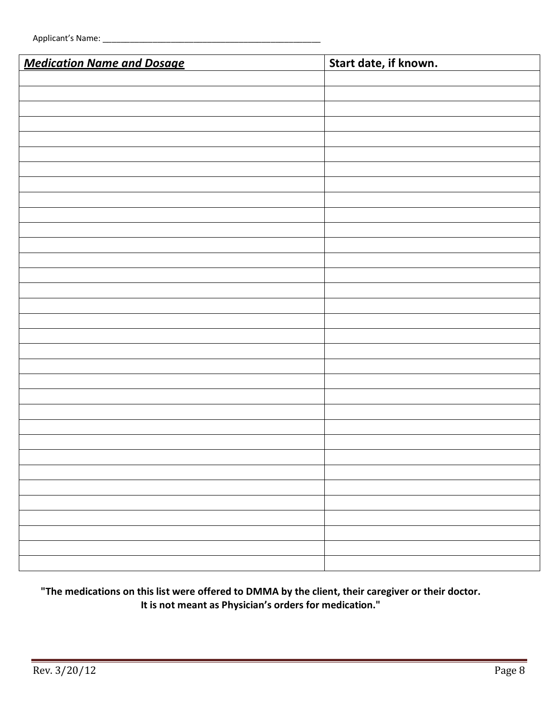| <b>Medication Name and Dosage</b> | Start date, if known. |  |  |  |
|-----------------------------------|-----------------------|--|--|--|
|                                   |                       |  |  |  |
|                                   |                       |  |  |  |
|                                   |                       |  |  |  |
|                                   |                       |  |  |  |
|                                   |                       |  |  |  |
|                                   |                       |  |  |  |
|                                   |                       |  |  |  |
|                                   |                       |  |  |  |
|                                   |                       |  |  |  |
|                                   |                       |  |  |  |
|                                   |                       |  |  |  |
|                                   |                       |  |  |  |
|                                   |                       |  |  |  |
|                                   |                       |  |  |  |
|                                   |                       |  |  |  |
|                                   |                       |  |  |  |
|                                   |                       |  |  |  |
|                                   |                       |  |  |  |
|                                   |                       |  |  |  |
|                                   |                       |  |  |  |
|                                   |                       |  |  |  |
|                                   |                       |  |  |  |
|                                   |                       |  |  |  |
|                                   |                       |  |  |  |
|                                   |                       |  |  |  |
|                                   |                       |  |  |  |
|                                   |                       |  |  |  |
|                                   |                       |  |  |  |
|                                   |                       |  |  |  |
|                                   |                       |  |  |  |
|                                   |                       |  |  |  |
|                                   |                       |  |  |  |
|                                   |                       |  |  |  |

## **"The medications on this list were offered to DMMA by the client, their caregiver or their doctor. It is not meant as Physician's orders for medication."**